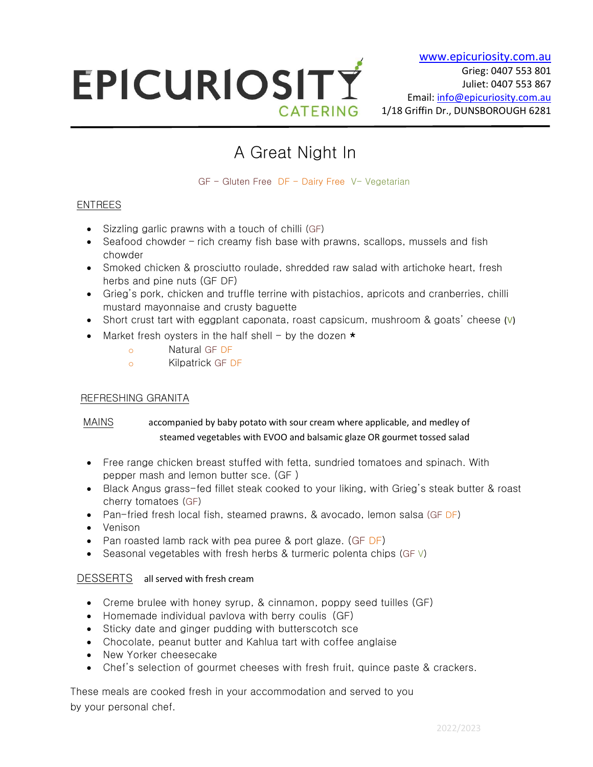# EPICURIOSITY CATERING

# A Great Night In

GF - Gluten Free DF - Dairy Free V- Vegetarian

# ENTREES

 $\overline{a}$ 

- Sizzling garlic prawns with a touch of chilli (GF)
- Seafood chowder rich creamy fish base with prawns, scallops, mussels and fish chowder
- Smoked chicken & prosciutto roulade, shredded raw salad with artichoke heart, fresh herbs and pine nuts (GF DF)
- Grieg's pork, chicken and truffle terrine with pistachios, apricots and cranberries, chilli mustard mayonnaise and crusty baguette
- Short crust tart with eggplant caponata, roast capsicum, mushroom  $\&$  goats' cheese (V)
- Market fresh oysters in the half shell by the dozen  $\star$ 
	- o Natural GF DF
	- o Kilpatrick GF DF

#### REFRESHING GRANITA

### MAINS accompanied by baby potato with sour cream where applicable, and medley of steamed vegetables with EVOO and balsamic glaze OR gourmet tossed salad

- Free range chicken breast stuffed with fetta, sundried tomatoes and spinach. With pepper mash and lemon butter sce. (GF )
- Black Angus grass-fed fillet steak cooked to your liking, with Grieg's steak butter & roast cherry tomatoes (GF)
- Pan-fried fresh local fish, steamed prawns, & avocado, lemon salsa (GF DF)
- Venison
- Pan roasted lamb rack with pea puree & port glaze. (GF DF)
- Seasonal vegetables with fresh herbs & turmeric polenta chips (GF  $\lor$ )

# DESSERTS all served with fresh cream

- Creme brulee with honey syrup, & cinnamon, poppy seed tuilles (GF)
- Homemade individual pavlova with berry coulis (GF)
- Sticky date and ginger pudding with butterscotch sce
- Chocolate, peanut butter and Kahlua tart with coffee anglaise
- New Yorker cheesecake
- Chef's selection of gourmet cheeses with fresh fruit, quince paste & crackers.

These meals are cooked fresh in your accommodation and served to you by your personal chef.